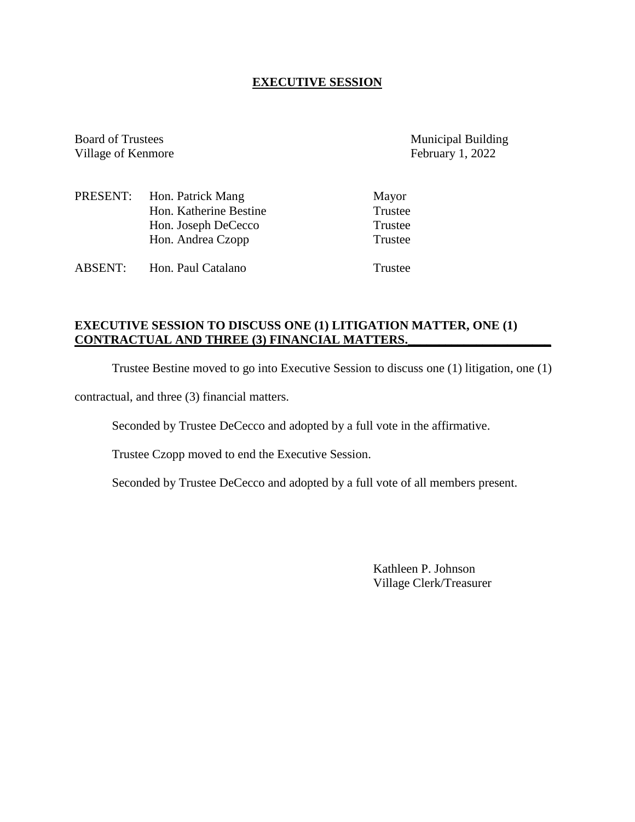## **EXECUTIVE SESSION**

Board of Trustees Municipal Building<br>Village of Kenmore February 1, 2022 Village of Kenmore

|                | PRESENT: Hon. Patrick Mang | Mayor   |
|----------------|----------------------------|---------|
|                | Hon. Katherine Bestine     | Trustee |
|                | Hon. Joseph DeCecco        | Trustee |
|                | Hon. Andrea Czopp          | Trustee |
|                |                            |         |
| <b>ABSENT:</b> | Hon. Paul Catalano         | Trustee |

# **EXECUTIVE SESSION TO DISCUSS ONE (1) LITIGATION MATTER, ONE (1) CONTRACTUAL AND THREE (3) FINANCIAL MATTERS.\_\_\_\_\_\_\_\_\_\_\_\_\_\_\_\_\_\_\_\_\_\_\_**

Trustee Bestine moved to go into Executive Session to discuss one (1) litigation, one (1)

contractual, and three (3) financial matters.

Seconded by Trustee DeCecco and adopted by a full vote in the affirmative.

Trustee Czopp moved to end the Executive Session.

Seconded by Trustee DeCecco and adopted by a full vote of all members present.

Kathleen P. Johnson Village Clerk/Treasurer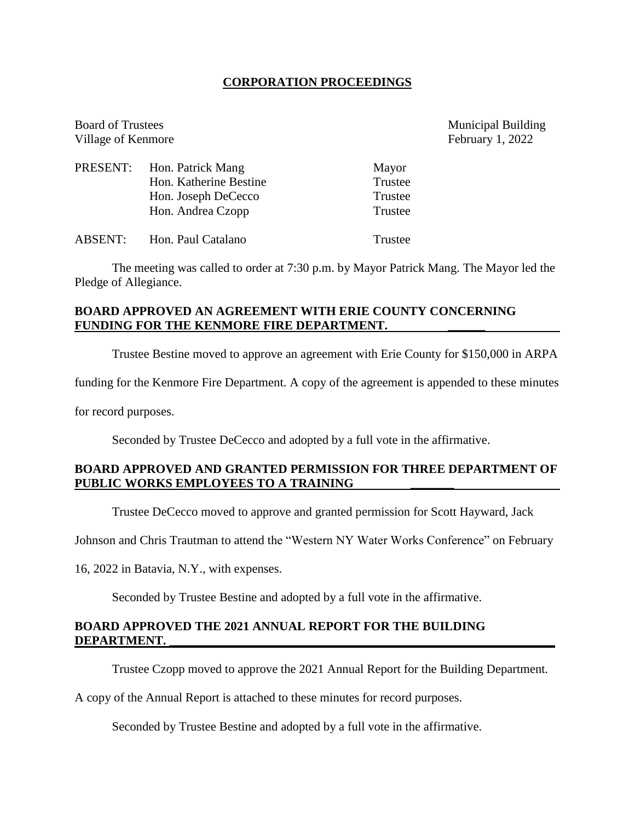#### **CORPORATION PROCEEDINGS**

Village of Kenmore February 1, 2022 PRESENT: Hon. Patrick Mang Mayor Hon. Katherine Bestine Trustee Hon. Joseph DeCecco Trustee Hon. Andrea Czopp Trustee ABSENT: Hon. Paul Catalano Trustee

The meeting was called to order at 7:30 p.m. by Mayor Patrick Mang. The Mayor led the Pledge of Allegiance.

## **BOARD APPROVED AN AGREEMENT WITH ERIE COUNTY CONCERNING** FUNDING FOR THE KENMORE FIRE DEPARTMENT.

Trustee Bestine moved to approve an agreement with Erie County for \$150,000 in ARPA

funding for the Kenmore Fire Department. A copy of the agreement is appended to these minutes

for record purposes.

Seconded by Trustee DeCecco and adopted by a full vote in the affirmative.

## **BOARD APPROVED AND GRANTED PERMISSION FOR THREE DEPARTMENT OF PUBLIC WORKS EMPLOYEES TO A TRAINING \_\_\_\_\_\_\_**

Trustee DeCecco moved to approve and granted permission for Scott Hayward, Jack

Johnson and Chris Trautman to attend the "Western NY Water Works Conference" on February

16, 2022 in Batavia, N.Y., with expenses.

Seconded by Trustee Bestine and adopted by a full vote in the affirmative.

#### **BOARD APPROVED THE 2021 ANNUAL REPORT FOR THE BUILDING**  DEPARTMENT.

Trustee Czopp moved to approve the 2021 Annual Report for the Building Department.

A copy of the Annual Report is attached to these minutes for record purposes.

Seconded by Trustee Bestine and adopted by a full vote in the affirmative.

Board of Trustees Municipal Building